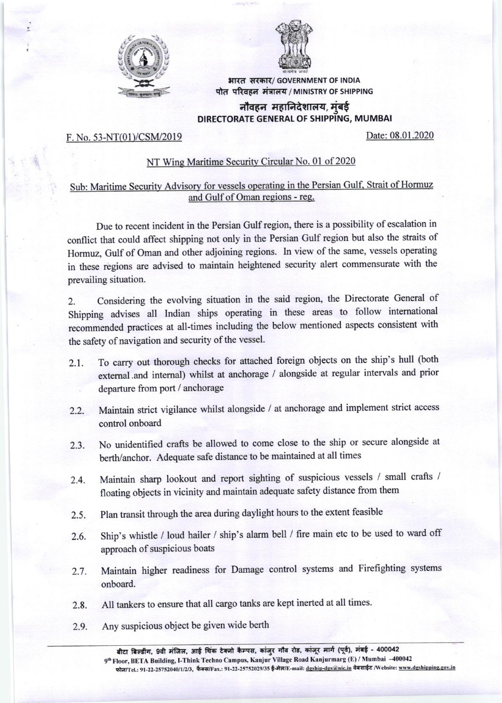



भारत सरकार/ GOVERNMENT OF INDIA पोत परिवहन मंत्रालय / MINISTRY OF SHIPPING

## नौवहन महानिदेशालय, मुंबई DIRECTORATE GENERAL OF SHIPPING, MUMBAI

## F. No. 53-NT(01)/CSM/2019 Date: 08.01.2020

## NT Wing Maritime Security Circular No. 01 of 2020

## Sub: Maritime Security Advisory for vessels operating in the Persian Gulf. Strait of Hormuz and Gulf of Oman reqions - ree.

Due to recent incident in the Persian Gulf region, there is a possibility of escalation in conflict that could affect shipping not only in the Persian Gulf region but also the straits of Hormuz, Gulf of Oman and other adjoining regions. In view of the same, vessels operating in these regions are advised to maintain heightened security alert commensurate with the prevailing situation.

2. Considering the evolving situation in the said region, the Directorate General of shipping advises all Indian ships operating in these areas to follow intemational recommended practices at all-times including the below mentioned aspects consistent with the safety of navigation and security of the vessel.

- 2.1. To carry out thorough checks for attached foreign objects on the ship's hull (both extemal .and internal) whilst at anchorage / alongside at regular intervals and prior departure from port / anchorage
- 2.2. Maintain strict vigilance whilst alongside / at anchorage and implement strict access control onboard
- 2.3. No unidentified crafts be allowed to come close to the ship or secure alongside at berth/anchor. Adequate safe distance to be maintained at all times
- 2.4. Maintain sharp lookout and report sighting of suspicious vessels / small crafts / floating objects in vicinity and maintain adequate safety distance from them
- 2.5. Plan transit through the area during daylight hours to the extent feasible
- 2.6. Ship's whistle / loud hailer / ship's atarm bell / fire main etc to be used to ward off approach of suspicious boats
- 2.7 . Maintain higher readiness for Damage control systems and Firefighting systems onboard.
- 2.8. All tankers to ensure that all cargo tanks are kept inerted at all times.
- 2.9. Any suspicious object be given wide berth